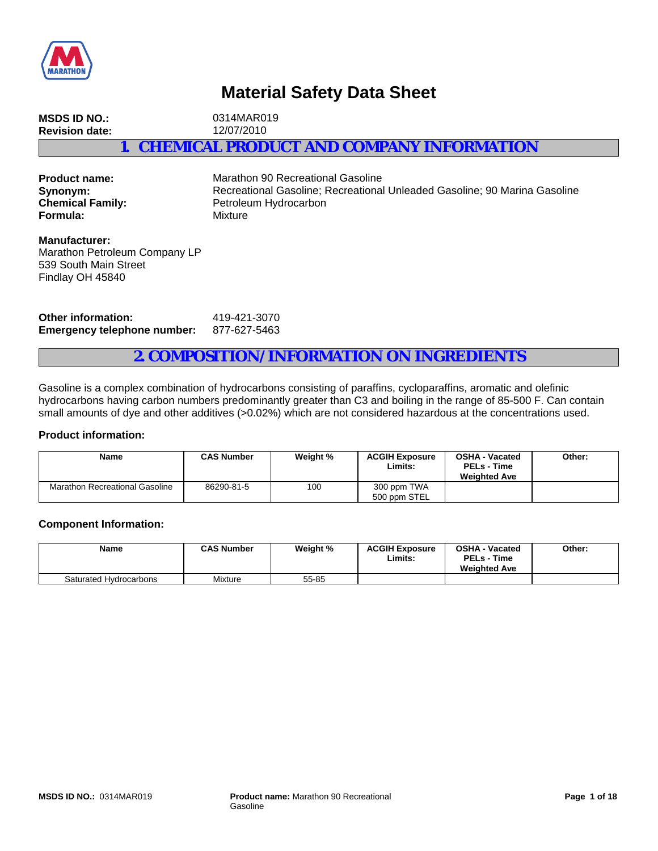

# **Material Safety Data Sheet**

**MSDS ID NO.:** 0314MAR019 **Revision date:** 12/07/2010 **1. CHEMICAL PRODUCT AND COMPANY INFORMATION**

**Formula:** Mixture

**Product name:** Marathon 90 Recreational Gasoline **Synonym:** Recreational Gasoline; Recreational Unleaded Gasoline; 90 Marina Gasoline<br> **Chemical Family:** Petroleum Hydrocarbon Petroleum Hydrocarbon

**Manufacturer:** Marathon Petroleum Company LP 539 South Main Street Findlay OH 45840

**Other information:** 419-421-3070 **Emergency telephone number:** 877-627-5463

## **2. COMPOSITION/INFORMATION ON INGREDIENTS**

Gasoline is a complex combination of hydrocarbons consisting of paraffins, cycloparaffins, aromatic and olefinic hydrocarbons having carbon numbers predominantly greater than C3 and boiling in the range of 85-500 F. Can contain small amounts of dye and other additives (>0.02%) which are not considered hazardous at the concentrations used.

### **Product information:**

| <b>Name</b>                    | <b>CAS Number</b> | Weight % | <b>ACGIH Exposure</b><br>Limits: | <b>OSHA - Vacated</b><br><b>PELs - Time</b><br><b>Weighted Ave</b> | Other: |
|--------------------------------|-------------------|----------|----------------------------------|--------------------------------------------------------------------|--------|
| Marathon Recreational Gasoline | 86290-81-5        | 100      | 300 ppm TWA<br>500 ppm STEL      |                                                                    |        |

### **Component Information:**

| <b>Name</b>            | <b>CAS Number</b> | Weight % | <b>ACGIH Exposure</b><br>Limits | <b>OSHA - Vacated</b><br><b>PELs - Time</b><br><b>Weighted Ave</b> | Other: |
|------------------------|-------------------|----------|---------------------------------|--------------------------------------------------------------------|--------|
| Saturated Hydrocarbons | Mixture           | 55-85    |                                 |                                                                    |        |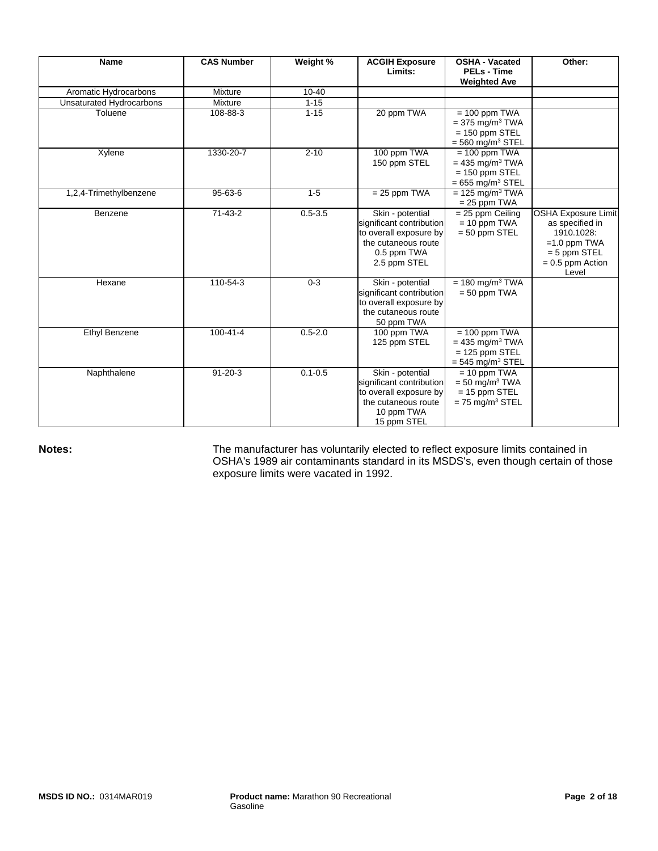| <b>Name</b>              | <b>CAS Number</b> | Weight %    | <b>ACGIH Exposure</b><br>Limits:                                                                                             | <b>OSHA - Vacated</b><br><b>PELs - Time</b><br><b>Weighted Ave</b>                                     | Other:                                                                                                                         |
|--------------------------|-------------------|-------------|------------------------------------------------------------------------------------------------------------------------------|--------------------------------------------------------------------------------------------------------|--------------------------------------------------------------------------------------------------------------------------------|
| Aromatic Hydrocarbons    | Mixture           | $10 - 40$   |                                                                                                                              |                                                                                                        |                                                                                                                                |
| Unsaturated Hydrocarbons | Mixture           | $1 - 15$    |                                                                                                                              |                                                                                                        |                                                                                                                                |
| Toluene                  | 108-88-3          | $1 - 15$    | 20 ppm TWA                                                                                                                   | $= 100$ ppm TWA<br>$= 375$ mg/m <sup>3</sup> TWA<br>$= 150$ ppm STEL<br>$=$ 560 mg/m <sup>3</sup> STEL |                                                                                                                                |
| Xylene                   | 1330-20-7         | $2 - 10$    | 100 ppm TWA<br>150 ppm STEL                                                                                                  | $= 100$ ppm TWA<br>$= 435$ mg/m <sup>3</sup> TWA<br>$= 150$ ppm STEL<br>$= 655$ mg/m <sup>3</sup> STEL |                                                                                                                                |
| 1,2,4-Trimethylbenzene   | 95-63-6           | $1 - 5$     | $= 25$ ppm TWA                                                                                                               | $= 125$ mg/m <sup>3</sup> TWA<br>$= 25$ ppm TWA                                                        |                                                                                                                                |
| Benzene                  | $71-43-2$         | $0.5 - 3.5$ | Skin - potential<br>significant contribution<br>to overall exposure by<br>the cutaneous route<br>0.5 ppm TWA<br>2.5 ppm STEL | $= 25$ ppm Ceiling<br>$= 10$ ppm TWA<br>$= 50$ ppm STEL                                                | <b>OSHA Exposure Limit</b><br>as specified in<br>1910.1028:<br>$=1.0$ ppm TWA<br>$= 5$ ppm STEL<br>$= 0.5$ ppm Action<br>Level |
| Hexane                   | 110-54-3          | $0 - 3$     | Skin - potential<br>significant contribution<br>to overall exposure by<br>the cutaneous route<br>50 ppm TWA                  | $= 180$ mg/m <sup>3</sup> TWA<br>$= 50$ ppm TWA                                                        |                                                                                                                                |
| Ethyl Benzene            | $100 - 41 - 4$    | $0.5 - 2.0$ | 100 ppm TWA<br>125 ppm STEL                                                                                                  | $= 100$ ppm TWA<br>$= 435$ mg/m <sup>3</sup> TWA<br>$= 125$ ppm STEL<br>$=$ 545 mg/m <sup>3</sup> STEL |                                                                                                                                |
| Naphthalene              | $91 - 20 - 3$     | $0.1 - 0.5$ | Skin - potential<br>significant contribution<br>to overall exposure by<br>the cutaneous route<br>10 ppm TWA<br>15 ppm STEL   | $= 10$ ppm TWA<br>$=$ 50 mg/m <sup>3</sup> TWA<br>$= 15$ ppm STEL<br>$= 75$ mg/m <sup>3</sup> STEL     |                                                                                                                                |

Notes: **Notes:** The manufacturer has voluntarily elected to reflect exposure limits contained in OSHA's 1989 air contaminants standard in its MSDS's, even though certain of those exposure limits were vacated in 1992.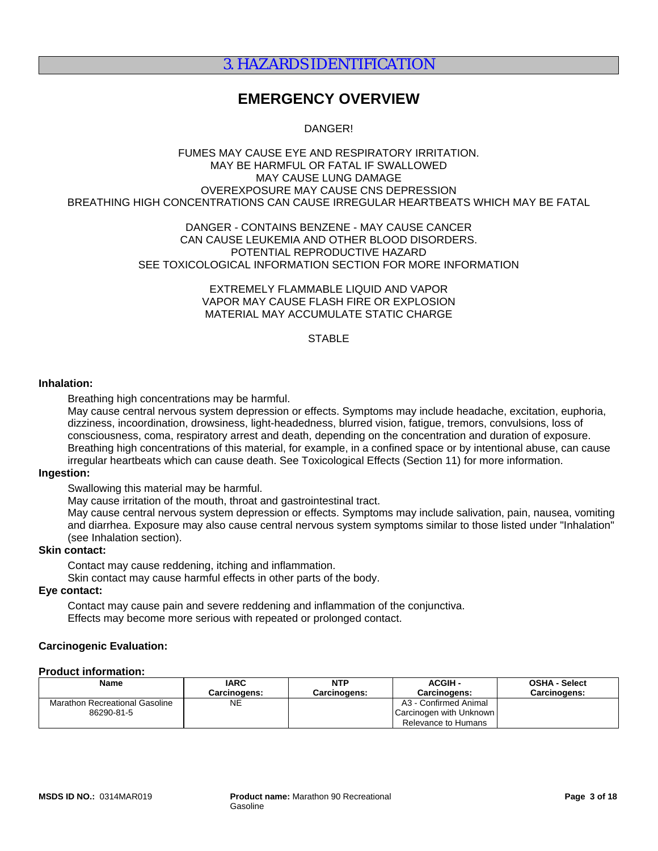## 3. HAZARDS IDENTIFICATION

## **EMERGENCY OVERVIEW**

DANGER!

#### FUMES MAY CAUSE EYE AND RESPIRATORY IRRITATION. MAY BE HARMFUL OR FATAL IF SWALLOWED MAY CAUSE LUNG DAMAGE OVEREXPOSURE MAY CAUSE CNS DEPRESSION BREATHING HIGH CONCENTRATIONS CAN CAUSE IRREGULAR HEARTBEATS WHICH MAY BE FATAL

#### DANGER - CONTAINS BENZENE - MAY CAUSE CANCER CAN CAUSE LEUKEMIA AND OTHER BLOOD DISORDERS. POTENTIAL REPRODUCTIVE HAZARD SEE TOXICOLOGICAL INFORMATION SECTION FOR MORE INFORMATION

EXTREMELY FLAMMABLE LIQUID AND VAPOR VAPOR MAY CAUSE FLASH FIRE OR EXPLOSION MATERIAL MAY ACCUMULATE STATIC CHARGE

## **STABLE**

#### **Inhalation:**

Breathing high concentrations may be harmful.

May cause central nervous system depression or effects. Symptoms may include headache, excitation, euphoria, dizziness, incoordination, drowsiness, light-headedness, blurred vision, fatigue, tremors, convulsions, loss of consciousness, coma, respiratory arrest and death, depending on the concentration and duration of exposure. Breathing high concentrations of this material, for example, in a confined space or by intentional abuse, can cause irregular heartbeats which can cause death. See Toxicological Effects (Section 11) for more information.

### **Ingestion:**

Swallowing this material may be harmful.

May cause irritation of the mouth, throat and gastrointestinal tract.

May cause central nervous system depression or effects. Symptoms may include salivation, pain, nausea, vomiting and diarrhea. Exposure may also cause central nervous system symptoms similar to those listed under "Inhalation" (see Inhalation section).

### **Skin contact:**

Contact may cause reddening, itching and inflammation.

Skin contact may cause harmful effects in other parts of the body.

## **Eye contact:**

Contact may cause pain and severe reddening and inflammation of the conjunctiva. Effects may become more serious with repeated or prolonged contact.

### **Carcinogenic Evaluation:**

#### **Product information:**

| <b>Name</b>                    | <b>IARC</b>  | <b>NTP</b>          | <b>ACGIH-</b>           | <b>OSHA - Select</b> |
|--------------------------------|--------------|---------------------|-------------------------|----------------------|
|                                | Carcinogens: | <b>Carcinogens:</b> | Carcinogens:            | <b>Carcinogens:</b>  |
| Marathon Recreational Gasoline | NΕ           |                     | A3 - Confirmed Animal   |                      |
| 86290-81-5                     |              |                     | Carcinogen with Unknown |                      |
|                                |              |                     | Relevance to Humans     |                      |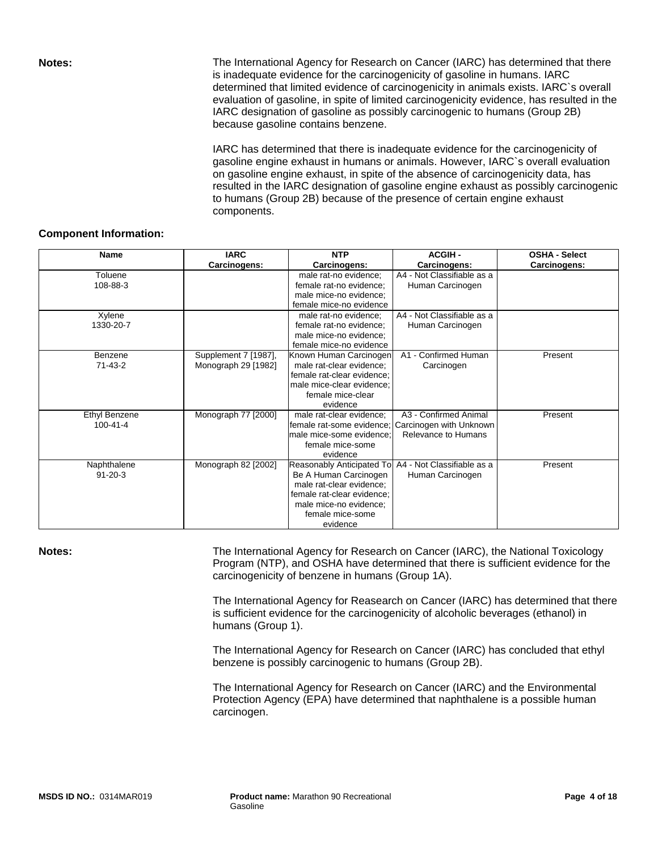**Notes:** The International Agency for Research on Cancer (IARC) has determined that there is inadequate evidence for the carcinogenicity of gasoline in humans. IARC determined that limited evidence of carcinogenicity in animals exists. IARC`s overall evaluation of gasoline, in spite of limited carcinogenicity evidence, has resulted in the IARC designation of gasoline as possibly carcinogenic to humans (Group 2B) because gasoline contains benzene.

> IARC has determined that there is inadequate evidence for the carcinogenicity of gasoline engine exhaust in humans or animals. However, IARC`s overall evaluation on gasoline engine exhaust, in spite of the absence of carcinogenicity data, has resulted in the IARC designation of gasoline engine exhaust as possibly carcinogenic to humans (Group 2B) because of the presence of certain engine exhaust components.

### **Component Information:**

| <b>Name</b>          | <b>IARC</b>                                 | <b>NTP</b>                                         | <b>ACGIH-</b>              | <b>OSHA - Select</b> |
|----------------------|---------------------------------------------|----------------------------------------------------|----------------------------|----------------------|
|                      | Carcinogens:                                | Carcinogens:                                       | Carcinogens:               | Carcinogens:         |
| Toluene              |                                             | male rat-no evidence;                              | A4 - Not Classifiable as a |                      |
| 108-88-3             |                                             | female rat-no evidence;                            | Human Carcinogen           |                      |
|                      |                                             | male mice-no evidence;                             |                            |                      |
|                      |                                             | female mice-no evidence                            |                            |                      |
| Xylene               |                                             | male rat-no evidence;                              | A4 - Not Classifiable as a |                      |
| 1330-20-7            |                                             | female rat-no evidence:                            | Human Carcinogen           |                      |
|                      |                                             | male mice-no evidence;                             |                            |                      |
| Benzene              |                                             | female mice-no evidence                            | A1 - Confirmed Human       | Present              |
| $71 - 43 - 2$        | Supplement 7 [1987],<br>Monograph 29 [1982] | Known Human Carcinogen<br>male rat-clear evidence; |                            |                      |
|                      |                                             | female rat-clear evidence;                         | Carcinogen                 |                      |
|                      |                                             | male mice-clear evidence;                          |                            |                      |
|                      |                                             | female mice-clear                                  |                            |                      |
|                      |                                             | evidence                                           |                            |                      |
| <b>Ethyl Benzene</b> | Monograph 77 [2000]                         | male rat-clear evidence;                           | A3 - Confirmed Animal      | Present              |
| $100 - 41 - 4$       |                                             | female rat-some evidence;                          | Carcinogen with Unknown    |                      |
|                      |                                             | male mice-some evidence:                           | Relevance to Humans        |                      |
|                      |                                             | female mice-some                                   |                            |                      |
|                      |                                             | evidence                                           |                            |                      |
| Naphthalene          | Monograph 82 [2002]                         | Reasonably Anticipated To                          | A4 - Not Classifiable as a | Present              |
| $91 - 20 - 3$        |                                             | Be A Human Carcinogen                              | Human Carcinogen           |                      |
|                      |                                             | male rat-clear evidence;                           |                            |                      |
|                      |                                             | female rat-clear evidence;                         |                            |                      |
|                      |                                             | male mice-no evidence;                             |                            |                      |
|                      |                                             | female mice-some                                   |                            |                      |
|                      |                                             | evidence                                           |                            |                      |

**Notes: The International Agency for Research on Cancer (IARC), the National Toxicology** Program (NTP), and OSHA have determined that there is sufficient evidence for the carcinogenicity of benzene in humans (Group 1A).

> The International Agency for Reasearch on Cancer (IARC) has determined that there is sufficient evidence for the carcinogenicity of alcoholic beverages (ethanol) in humans (Group 1).

The International Agency for Research on Cancer (IARC) has concluded that ethyl benzene is possibly carcinogenic to humans (Group 2B).

The International Agency for Research on Cancer (IARC) and the Environmental Protection Agency (EPA) have determined that naphthalene is a possible human carcinogen.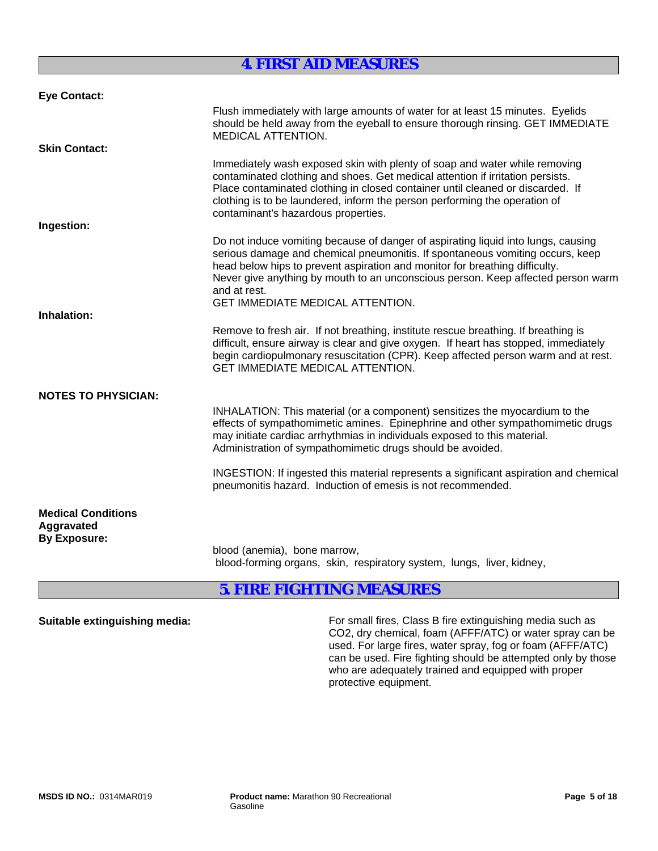## **4. FIRST AID MEASURES**

| <b>Eye Contact:</b>                                            |                                                                                                                                                                                                                                                                                                                                                                                                  |
|----------------------------------------------------------------|--------------------------------------------------------------------------------------------------------------------------------------------------------------------------------------------------------------------------------------------------------------------------------------------------------------------------------------------------------------------------------------------------|
|                                                                | Flush immediately with large amounts of water for at least 15 minutes. Eyelids<br>should be held away from the eyeball to ensure thorough rinsing. GET IMMEDIATE<br><b>MEDICAL ATTENTION.</b>                                                                                                                                                                                                    |
| <b>Skin Contact:</b>                                           |                                                                                                                                                                                                                                                                                                                                                                                                  |
|                                                                | Immediately wash exposed skin with plenty of soap and water while removing<br>contaminated clothing and shoes. Get medical attention if irritation persists.<br>Place contaminated clothing in closed container until cleaned or discarded. If<br>clothing is to be laundered, inform the person performing the operation of<br>contaminant's hazardous properties.                              |
| Ingestion:                                                     |                                                                                                                                                                                                                                                                                                                                                                                                  |
|                                                                | Do not induce vomiting because of danger of aspirating liquid into lungs, causing<br>serious damage and chemical pneumonitis. If spontaneous vomiting occurs, keep<br>head below hips to prevent aspiration and monitor for breathing difficulty.<br>Never give anything by mouth to an unconscious person. Keep affected person warm<br>and at rest.<br><b>GET IMMEDIATE MEDICAL ATTENTION.</b> |
| Inhalation:                                                    |                                                                                                                                                                                                                                                                                                                                                                                                  |
|                                                                | Remove to fresh air. If not breathing, institute rescue breathing. If breathing is<br>difficult, ensure airway is clear and give oxygen. If heart has stopped, immediately<br>begin cardiopulmonary resuscitation (CPR). Keep affected person warm and at rest.<br><b>GET IMMEDIATE MEDICAL ATTENTION.</b>                                                                                       |
| <b>NOTES TO PHYSICIAN:</b>                                     |                                                                                                                                                                                                                                                                                                                                                                                                  |
|                                                                | INHALATION: This material (or a component) sensitizes the myocardium to the<br>effects of sympathomimetic amines. Epinephrine and other sympathomimetic drugs<br>may initiate cardiac arrhythmias in individuals exposed to this material.<br>Administration of sympathomimetic drugs should be avoided.                                                                                         |
|                                                                | INGESTION: If ingested this material represents a significant aspiration and chemical<br>pneumonitis hazard. Induction of emesis is not recommended.                                                                                                                                                                                                                                             |
| <b>Medical Conditions</b><br>Aggravated<br><b>By Exposure:</b> |                                                                                                                                                                                                                                                                                                                                                                                                  |
|                                                                | blood (anemia), bone marrow,<br>blood-forming organs, skin, respiratory system, lungs, liver, kidney,                                                                                                                                                                                                                                                                                            |

## **5. FIRE FIGHTING MEASURES**

**Suitable extinguishing media:** For small fires, Class B fire extinguishing media such as CO2, dry chemical, foam (AFFF/ATC) or water spray can be used. For large fires, water spray, fog or foam (AFFF/ATC) can be used. Fire fighting should be attempted only by those who are adequately trained and equipped with proper protective equipment.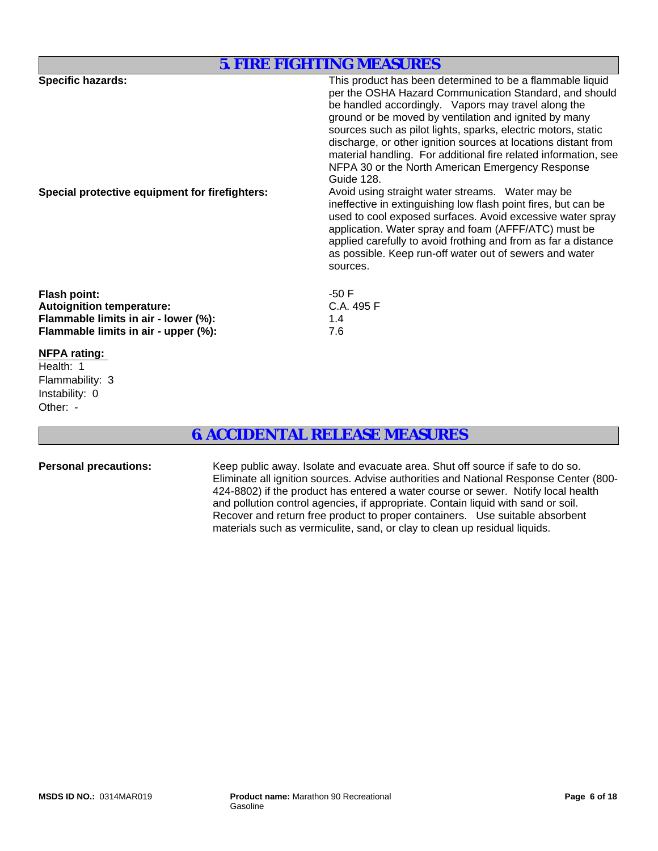## **5. FIRE FIGHTING MEASURES**

| <b>Specific hazards:</b>                       | This product has been determined to be a flammable liquid       |
|------------------------------------------------|-----------------------------------------------------------------|
|                                                | per the OSHA Hazard Communication Standard, and should          |
|                                                | be handled accordingly. Vapors may travel along the             |
|                                                | ground or be moved by ventilation and ignited by many           |
|                                                | sources such as pilot lights, sparks, electric motors, static   |
|                                                | discharge, or other ignition sources at locations distant from  |
|                                                | material handling. For additional fire related information, see |
|                                                | NFPA 30 or the North American Emergency Response                |
|                                                | Guide 128.                                                      |
| Special protective equipment for firefighters: | Avoid using straight water streams. Water may be                |
|                                                | ineffective in extinguishing low flash point fires, but can be  |
|                                                | used to cool exposed surfaces. Avoid excessive water spray      |
|                                                | application. Water spray and foam (AFFF/ATC) must be            |
|                                                | applied carefully to avoid frothing and from as far a distance  |
|                                                | as possible. Keep run-off water out of sewers and water         |
|                                                | sources.                                                        |
| Flash point:                                   | $-50F$                                                          |
| <b>Autoignition temperature:</b>               | C.A. 495 F                                                      |
| Flammable limits in air - lower (%):           | 1.4                                                             |
| Flammable limits in air - upper (%):           | 7.6                                                             |
|                                                |                                                                 |
| <b>NFPA rating:</b>                            |                                                                 |

Other: - Flammability: 3 Health: 1 Instability: 0

## **6. ACCIDENTAL RELEASE MEASURES**

Personal precautions: Keep public away. Isolate and evacuate area. Shut off source if safe to do so. Eliminate all ignition sources. Advise authorities and National Response Center (800- 424-8802) if the product has entered a water course or sewer. Notify local health and pollution control agencies, if appropriate. Contain liquid with sand or soil. Recover and return free product to proper containers. Use suitable absorbent materials such as vermiculite, sand, or clay to clean up residual liquids.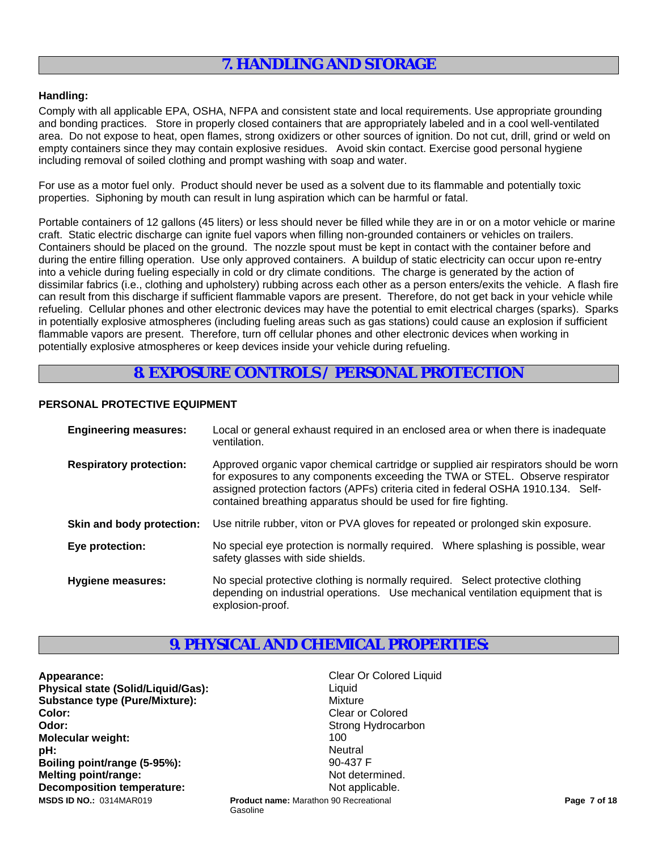## **7. HANDLING AND STORAGE**

### **Handling:**

Comply with all applicable EPA, OSHA, NFPA and consistent state and local requirements. Use appropriate grounding and bonding practices. Store in properly closed containers that are appropriately labeled and in a cool well-ventilated area. Do not expose to heat, open flames, strong oxidizers or other sources of ignition. Do not cut, drill, grind or weld on empty containers since they may contain explosive residues. Avoid skin contact. Exercise good personal hygiene including removal of soiled clothing and prompt washing with soap and water.

For use as a motor fuel only. Product should never be used as a solvent due to its flammable and potentially toxic properties. Siphoning by mouth can result in lung aspiration which can be harmful or fatal.

Portable containers of 12 gallons (45 liters) or less should never be filled while they are in or on a motor vehicle or marine craft. Static electric discharge can ignite fuel vapors when filling non-grounded containers or vehicles on trailers. Containers should be placed on the ground. The nozzle spout must be kept in contact with the container before and during the entire filling operation. Use only approved containers. A buildup of static electricity can occur upon re-entry into a vehicle during fueling especially in cold or dry climate conditions. The charge is generated by the action of dissimilar fabrics (i.e., clothing and upholstery) rubbing across each other as a person enters/exits the vehicle. A flash fire can result from this discharge if sufficient flammable vapors are present. Therefore, do not get back in your vehicle while refueling. Cellular phones and other electronic devices may have the potential to emit electrical charges (sparks). Sparks in potentially explosive atmospheres (including fueling areas such as gas stations) could cause an explosion if sufficient flammable vapors are present. Therefore, turn off cellular phones and other electronic devices when working in potentially explosive atmospheres or keep devices inside your vehicle during refueling.

## **8. EXPOSURE CONTROLS / PERSONAL PROTECTION**

## **PERSONAL PROTECTIVE EQUIPMENT**

| <b>Engineering measures:</b>   | Local or general exhaust required in an enclosed area or when there is inadequate<br>ventilation.                                                                                                                                                                                                                             |  |
|--------------------------------|-------------------------------------------------------------------------------------------------------------------------------------------------------------------------------------------------------------------------------------------------------------------------------------------------------------------------------|--|
| <b>Respiratory protection:</b> | Approved organic vapor chemical cartridge or supplied air respirators should be worn<br>for exposures to any components exceeding the TWA or STEL. Observe respirator<br>assigned protection factors (APFs) criteria cited in federal OSHA 1910.134. Self-<br>contained breathing apparatus should be used for fire fighting. |  |
| Skin and body protection:      | Use nitrile rubber, viton or PVA gloves for repeated or prolonged skin exposure.                                                                                                                                                                                                                                              |  |
| Eye protection:                | No special eye protection is normally required. Where splashing is possible, wear<br>safety glasses with side shields.                                                                                                                                                                                                        |  |
| <b>Hygiene measures:</b>       | No special protective clothing is normally required. Select protective clothing<br>depending on industrial operations. Use mechanical ventilation equipment that is<br>explosion-proof.                                                                                                                                       |  |

## **9. PHYSICAL AND CHEMICAL PROPERTIES:**

Gasoline

**Appearance:** Clear Or Colored Liquid **Physical state (Solid/Liquid/Gas):** Liquid Liquid **Substance type (Pure/Mixture):** Mixture **Color:** Clear or Colored **Colored Clear or Colored Odor:** Strong Hydrocarbon **Strong Hydrocarbon Molecular weight:** 100<br> **Note:** 100<br> **Note:** 100<br> **Note:** 100 **pH:** Neutral **Boiling point/range (5-95%):** 90-437 F **Melting point/range:** Not determined. **Decomposition temperature:** Not applicable. **Product name:** Marathon 90 Recreational **Product name: Marathon 90 Recreational <b>Page 7 of 18 Page 7 of 18 Page 7 of 18**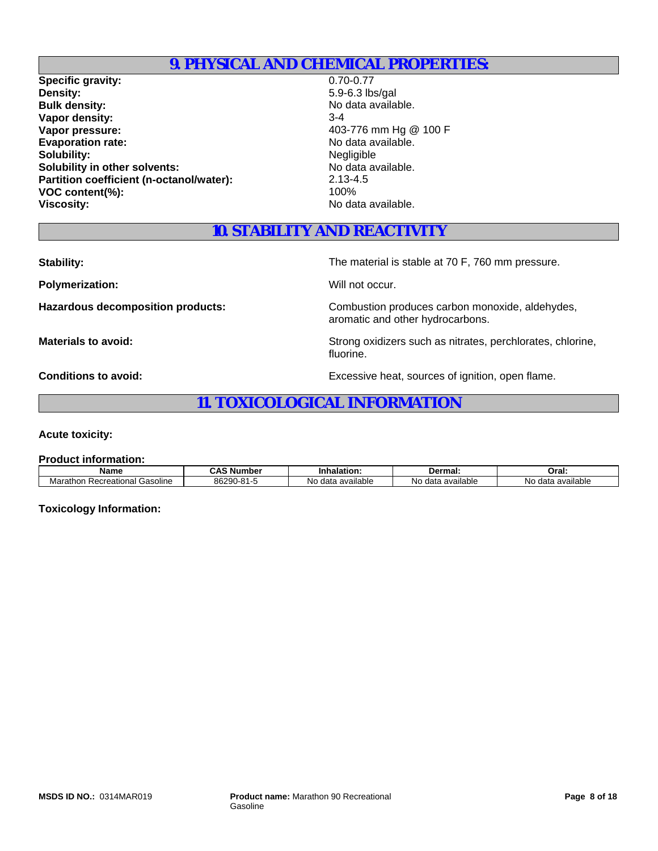## **9. PHYSICAL AND CHEMICAL PROPERTIES:**

**Specific gravity:** 0.70-0.77<br> **Density:** 0.70-0.77<br>
5.9-6.3 lb: **Bulk density:** No data available. **Vapor density:** 3-4 **Vapor pressure:**  $403-776$  mm Hg @ 100 F Evaporation rate:<br>
Solubility:<br>
Solubility:<br>
Negligible **Solubility:**<br> **Solubility** in other solvents:<br> **Solubility** in other solvents:<br> **Solubility** in other solvents: **Solubility in other solvents: Partition coefficient (n-octanol/water):** 2.13-4.5<br>VOC content(%): 100% **VOC content(%): Viscosity:** No data available.

**Density:** 5.9-6.3 lbs/gal

## **10. STABILITY AND REACTIVITY**

**Polymerization:** Will not occur.

**Stability:** The material is stable at 70 F, 760 mm pressure.

Hazardous decomposition products: Combustion produces carbon monoxide, aldehydes, aromatic and other hydrocarbons.

**Materials to avoid:** National Strong oxidizers such as nitrates, perchlorates, chlorine, fluorine.

**Conditions to avoid:** Excessive heat, sources of ignition, open flame.

## **11. TOXICOLOGICAL INFORMATION**

**Acute toxicity:**

**Product information:**

| Name                                                 | Number              | Inhalation:              | Dermal:                   | Oral:                   |
|------------------------------------------------------|---------------------|--------------------------|---------------------------|-------------------------|
| Marathon<br>asolineذ<br>Recreational<br>70A<br>cauvi | 86290<br>ገ-ጸ1-<br>ີ | ⊧available<br>data<br>NC | available<br>data<br>'NU. | available<br>Nc<br>data |

**Toxicology Information:**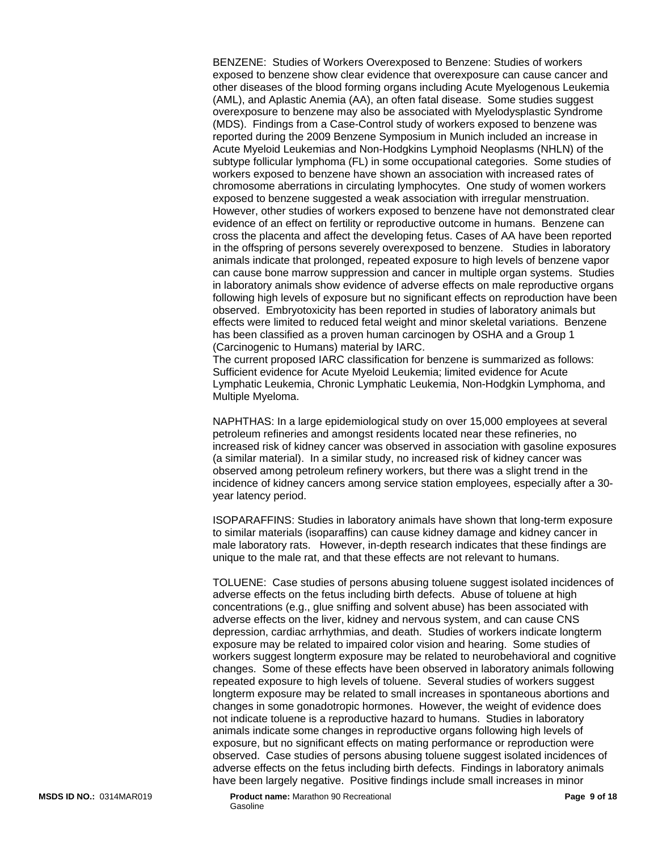BENZENE: Studies of Workers Overexposed to Benzene: Studies of workers exposed to benzene show clear evidence that overexposure can cause cancer and other diseases of the blood forming organs including Acute Myelogenous Leukemia (AML), and Aplastic Anemia (AA), an often fatal disease. Some studies suggest overexposure to benzene may also be associated with Myelodysplastic Syndrome (MDS). Findings from a Case-Control study of workers exposed to benzene was reported during the 2009 Benzene Symposium in Munich included an increase in Acute Myeloid Leukemias and Non-Hodgkins Lymphoid Neoplasms (NHLN) of the subtype follicular lymphoma (FL) in some occupational categories. Some studies of workers exposed to benzene have shown an association with increased rates of chromosome aberrations in circulating lymphocytes. One study of women workers exposed to benzene suggested a weak association with irregular menstruation. However, other studies of workers exposed to benzene have not demonstrated clear evidence of an effect on fertility or reproductive outcome in humans. Benzene can cross the placenta and affect the developing fetus. Cases of AA have been reported in the offspring of persons severely overexposed to benzene. Studies in laboratory animals indicate that prolonged, repeated exposure to high levels of benzene vapor can cause bone marrow suppression and cancer in multiple organ systems. Studies in laboratory animals show evidence of adverse effects on male reproductive organs following high levels of exposure but no significant effects on reproduction have been observed. Embryotoxicity has been reported in studies of laboratory animals but effects were limited to reduced fetal weight and minor skeletal variations. Benzene has been classified as a proven human carcinogen by OSHA and a Group 1 (Carcinogenic to Humans) material by IARC.

The current proposed IARC classification for benzene is summarized as follows: Sufficient evidence for Acute Myeloid Leukemia; limited evidence for Acute Lymphatic Leukemia, Chronic Lymphatic Leukemia, Non-Hodgkin Lymphoma, and Multiple Myeloma.

NAPHTHAS: In a large epidemiological study on over 15,000 employees at several petroleum refineries and amongst residents located near these refineries, no increased risk of kidney cancer was observed in association with gasoline exposures (a similar material). In a similar study, no increased risk of kidney cancer was observed among petroleum refinery workers, but there was a slight trend in the incidence of kidney cancers among service station employees, especially after a 30 year latency period.

ISOPARAFFINS: Studies in laboratory animals have shown that long-term exposure to similar materials (isoparaffins) can cause kidney damage and kidney cancer in male laboratory rats. However, in-depth research indicates that these findings are unique to the male rat, and that these effects are not relevant to humans.

TOLUENE: Case studies of persons abusing toluene suggest isolated incidences of adverse effects on the fetus including birth defects. Abuse of toluene at high concentrations (e.g., glue sniffing and solvent abuse) has been associated with adverse effects on the liver, kidney and nervous system, and can cause CNS depression, cardiac arrhythmias, and death. Studies of workers indicate longterm exposure may be related to impaired color vision and hearing. Some studies of workers suggest longterm exposure may be related to neurobehavioral and cognitive changes. Some of these effects have been observed in laboratory animals following repeated exposure to high levels of toluene. Several studies of workers suggest longterm exposure may be related to small increases in spontaneous abortions and changes in some gonadotropic hormones. However, the weight of evidence does not indicate toluene is a reproductive hazard to humans. Studies in laboratory animals indicate some changes in reproductive organs following high levels of exposure, but no significant effects on mating performance or reproduction were observed. Case studies of persons abusing toluene suggest isolated incidences of adverse effects on the fetus including birth defects. Findings in laboratory animals have been largely negative. Positive findings include small increases in minor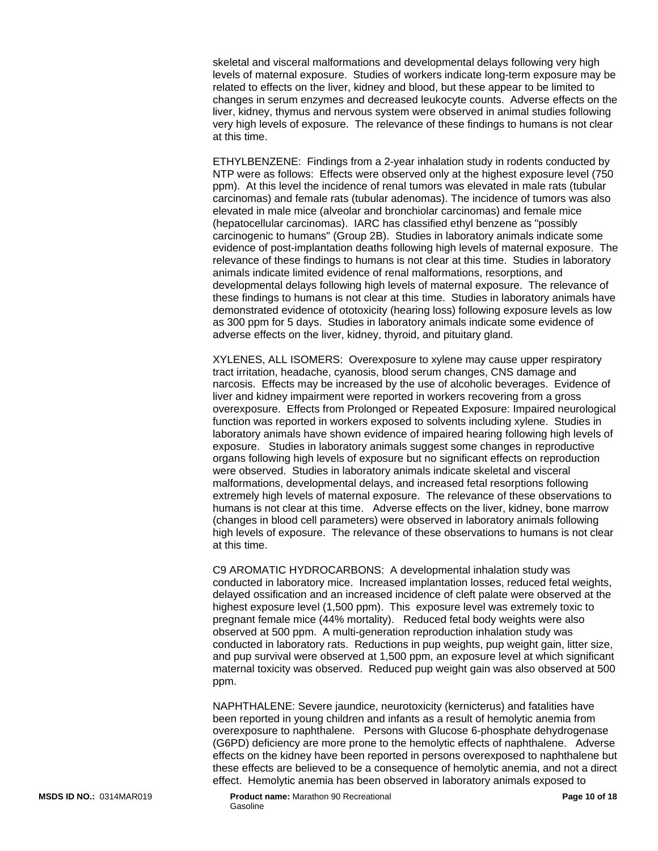skeletal and visceral malformations and developmental delays following very high levels of maternal exposure. Studies of workers indicate long-term exposure may be related to effects on the liver, kidney and blood, but these appear to be limited to changes in serum enzymes and decreased leukocyte counts. Adverse effects on the liver, kidney, thymus and nervous system were observed in animal studies following very high levels of exposure. The relevance of these findings to humans is not clear at this time.

ETHYLBENZENE: Findings from a 2-year inhalation study in rodents conducted by NTP were as follows: Effects were observed only at the highest exposure level (750 ppm). At this level the incidence of renal tumors was elevated in male rats (tubular carcinomas) and female rats (tubular adenomas). The incidence of tumors was also elevated in male mice (alveolar and bronchiolar carcinomas) and female mice (hepatocellular carcinomas). IARC has classified ethyl benzene as "possibly carcinogenic to humans" (Group 2B). Studies in laboratory animals indicate some evidence of post-implantation deaths following high levels of maternal exposure. The relevance of these findings to humans is not clear at this time. Studies in laboratory animals indicate limited evidence of renal malformations, resorptions, and developmental delays following high levels of maternal exposure. The relevance of these findings to humans is not clear at this time. Studies in laboratory animals have demonstrated evidence of ototoxicity (hearing loss) following exposure levels as low as 300 ppm for 5 days. Studies in laboratory animals indicate some evidence of adverse effects on the liver, kidney, thyroid, and pituitary gland.

XYLENES, ALL ISOMERS: Overexposure to xylene may cause upper respiratory tract irritation, headache, cyanosis, blood serum changes, CNS damage and narcosis. Effects may be increased by the use of alcoholic beverages. Evidence of liver and kidney impairment were reported in workers recovering from a gross overexposure. Effects from Prolonged or Repeated Exposure: Impaired neurological function was reported in workers exposed to solvents including xylene. Studies in laboratory animals have shown evidence of impaired hearing following high levels of exposure. Studies in laboratory animals suggest some changes in reproductive organs following high levels of exposure but no significant effects on reproduction were observed. Studies in laboratory animals indicate skeletal and visceral malformations, developmental delays, and increased fetal resorptions following extremely high levels of maternal exposure. The relevance of these observations to humans is not clear at this time. Adverse effects on the liver, kidney, bone marrow (changes in blood cell parameters) were observed in laboratory animals following high levels of exposure. The relevance of these observations to humans is not clear at this time.

C9 AROMATIC HYDROCARBONS: A developmental inhalation study was conducted in laboratory mice. Increased implantation losses, reduced fetal weights, delayed ossification and an increased incidence of cleft palate were observed at the highest exposure level (1,500 ppm). This exposure level was extremely toxic to pregnant female mice (44% mortality). Reduced fetal body weights were also observed at 500 ppm. A multi-generation reproduction inhalation study was conducted in laboratory rats. Reductions in pup weights, pup weight gain, litter size, and pup survival were observed at 1,500 ppm, an exposure level at which significant maternal toxicity was observed. Reduced pup weight gain was also observed at 500 ppm.

NAPHTHALENE: Severe jaundice, neurotoxicity (kernicterus) and fatalities have been reported in young children and infants as a result of hemolytic anemia from overexposure to naphthalene. Persons with Glucose 6-phosphate dehydrogenase (G6PD) deficiency are more prone to the hemolytic effects of naphthalene. Adverse effects on the kidney have been reported in persons overexposed to naphthalene but these effects are believed to be a consequence of hemolytic anemia, and not a direct effect. Hemolytic anemia has been observed in laboratory animals exposed to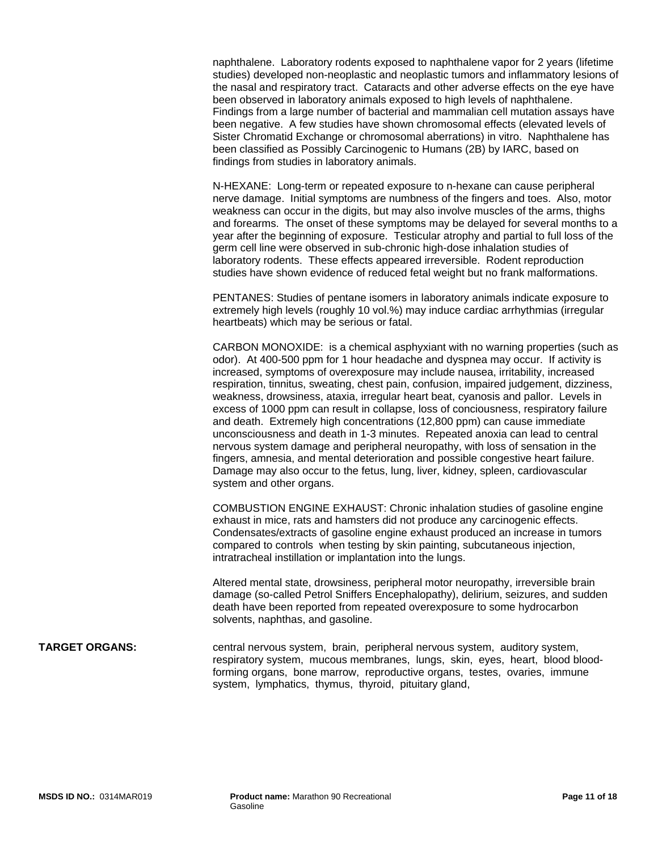naphthalene. Laboratory rodents exposed to naphthalene vapor for 2 years (lifetime studies) developed non-neoplastic and neoplastic tumors and inflammatory lesions of the nasal and respiratory tract. Cataracts and other adverse effects on the eye have been observed in laboratory animals exposed to high levels of naphthalene. Findings from a large number of bacterial and mammalian cell mutation assays have been negative. A few studies have shown chromosomal effects (elevated levels of Sister Chromatid Exchange or chromosomal aberrations) in vitro. Naphthalene has been classified as Possibly Carcinogenic to Humans (2B) by IARC, based on findings from studies in laboratory animals.

N-HEXANE: Long-term or repeated exposure to n-hexane can cause peripheral nerve damage. Initial symptoms are numbness of the fingers and toes. Also, motor weakness can occur in the digits, but may also involve muscles of the arms, thighs and forearms. The onset of these symptoms may be delayed for several months to a year after the beginning of exposure. Testicular atrophy and partial to full loss of the germ cell line were observed in sub-chronic high-dose inhalation studies of laboratory rodents. These effects appeared irreversible. Rodent reproduction studies have shown evidence of reduced fetal weight but no frank malformations.

PENTANES: Studies of pentane isomers in laboratory animals indicate exposure to extremely high levels (roughly 10 vol.%) may induce cardiac arrhythmias (irregular heartbeats) which may be serious or fatal.

CARBON MONOXIDE: is a chemical asphyxiant with no warning properties (such as odor). At 400-500 ppm for 1 hour headache and dyspnea may occur. If activity is increased, symptoms of overexposure may include nausea, irritability, increased respiration, tinnitus, sweating, chest pain, confusion, impaired judgement, dizziness, weakness, drowsiness, ataxia, irregular heart beat, cyanosis and pallor. Levels in excess of 1000 ppm can result in collapse, loss of conciousness, respiratory failure and death. Extremely high concentrations (12,800 ppm) can cause immediate unconsciousness and death in 1-3 minutes. Repeated anoxia can lead to central nervous system damage and peripheral neuropathy, with loss of sensation in the fingers, amnesia, and mental deterioration and possible congestive heart failure. Damage may also occur to the fetus, lung, liver, kidney, spleen, cardiovascular system and other organs.

COMBUSTION ENGINE EXHAUST: Chronic inhalation studies of gasoline engine exhaust in mice, rats and hamsters did not produce any carcinogenic effects. Condensates/extracts of gasoline engine exhaust produced an increase in tumors compared to controls when testing by skin painting, subcutaneous injection, intratracheal instillation or implantation into the lungs.

Altered mental state, drowsiness, peripheral motor neuropathy, irreversible brain damage (so-called Petrol Sniffers Encephalopathy), delirium, seizures, and sudden death have been reported from repeated overexposure to some hydrocarbon solvents, naphthas, and gasoline.

#### **TARGET ORGANS:** central nervous system, brain, peripheral nervous system, auditory system, respiratory system, mucous membranes, lungs, skin, eyes, heart, blood bloodforming organs, bone marrow, reproductive organs, testes, ovaries, immune system, lymphatics, thymus, thyroid, pituitary gland,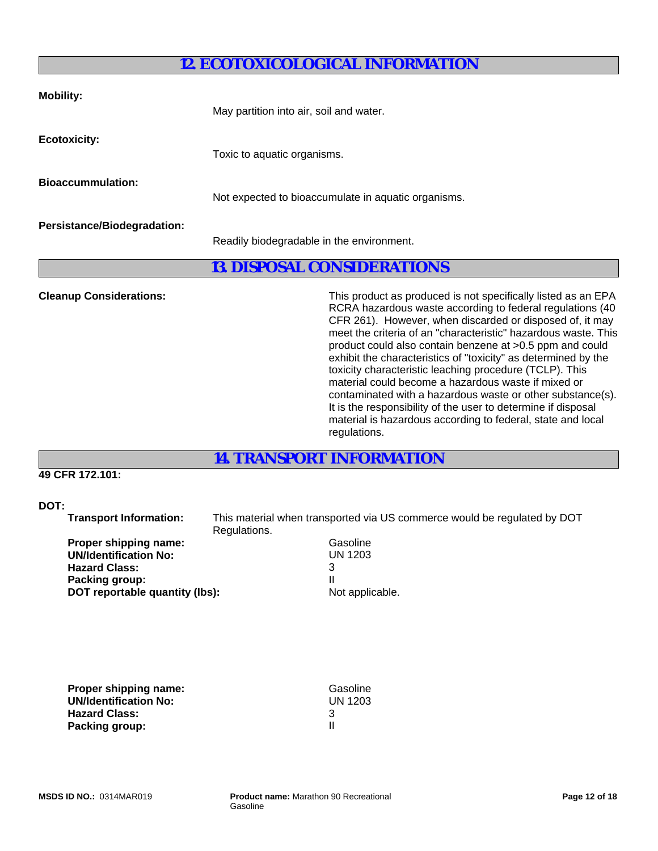## **12. ECOTOXICOLOGICAL INFORMATION**

| <b>Mobility:</b>                   | May partition into air, soil and water.             |
|------------------------------------|-----------------------------------------------------|
| <b>Ecotoxicity:</b>                | Toxic to aquatic organisms.                         |
| <b>Bioaccummulation:</b>           | Not expected to bioaccumulate in aquatic organisms. |
| <b>Persistance/Biodegradation:</b> | Readily biodegradable in the environment.           |

## **13. DISPOSAL CONSIDERATIONS**

**Cleanup Considerations:** This product as produced is not specifically listed as an EPA RCRA hazardous waste according to federal regulations (40 CFR 261). However, when discarded or disposed of, it may meet the criteria of an "characteristic" hazardous waste. This product could also contain benzene at >0.5 ppm and could exhibit the characteristics of "toxicity" as determined by the toxicity characteristic leaching procedure (TCLP). This material could become a hazardous waste if mixed or contaminated with a hazardous waste or other substance(s). It is the responsibility of the user to determine if disposal material is hazardous according to federal, state and local regulations.

**14. TRANSPORT INFORMATION**

## **49 CFR 172.101:**

### **DOT:**

 **Transport Information:** This material when transported via US commerce would be regulated by DOT Regulations.

| Gasoline       |
|----------------|
| <b>UN 1203</b> |
| 3              |
|                |
| Not appli      |
|                |

**UN 1203**<br>3 **Not applicable.** 

| Proper shipping name:        | Gasoline |
|------------------------------|----------|
| <b>UN/Identification No:</b> | UN 1203  |
| <b>Hazard Class:</b>         |          |
| Packing group:               |          |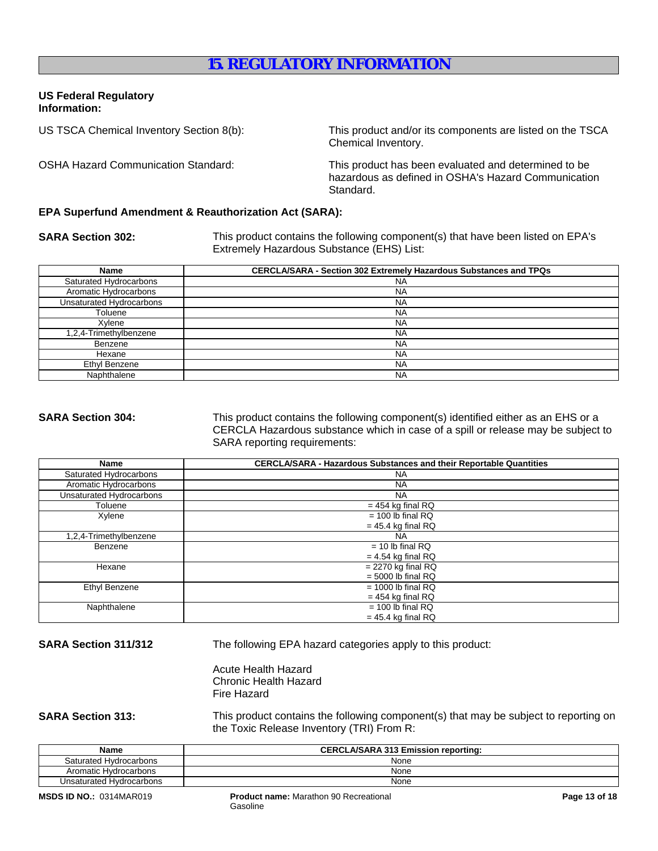## **15. REGULATORY INFORMATION**

### **US Federal Regulatory Information:**

US TSCA Chemical Inventory Section 8(b): This product and/or its components are listed on the TSCA Chemical Inventory.

OSHA Hazard Communication Standard: This product has been evaluated and determined to be hazardous as defined in OSHA's Hazard Communication Standard.

#### **EPA Superfund Amendment & Reauthorization Act (SARA):**

**SARA Section 302:** This product contains the following component(s) that have been listed on EPA's Extremely Hazardous Substance (EHS) List:

| Name                     | <b>CERCLA/SARA - Section 302 Extremely Hazardous Substances and TPQs</b> |  |
|--------------------------|--------------------------------------------------------------------------|--|
| Saturated Hydrocarbons   | <b>NA</b>                                                                |  |
| Aromatic Hydrocarbons    | <b>NA</b>                                                                |  |
| Unsaturated Hydrocarbons | <b>NA</b>                                                                |  |
| Toluene                  | <b>NA</b>                                                                |  |
| Xvlene                   | <b>NA</b>                                                                |  |
| 1,2,4-Trimethylbenzene   | <b>NA</b>                                                                |  |
| Benzene                  | <b>NA</b>                                                                |  |
| Hexane                   | <b>NA</b>                                                                |  |
| Ethyl Benzene            | <b>NA</b>                                                                |  |
| Naphthalene              | <b>NA</b>                                                                |  |

**SARA Section 304:** This product contains the following component(s) identified either as an EHS or a CERCLA Hazardous substance which in case of a spill or release may be subject to SARA reporting requirements:

| Name                     | <b>CERCLA/SARA - Hazardous Substances and their Reportable Quantities</b> |  |
|--------------------------|---------------------------------------------------------------------------|--|
| Saturated Hydrocarbons   | <b>NA</b>                                                                 |  |
| Aromatic Hydrocarbons    | <b>NA</b>                                                                 |  |
| Unsaturated Hydrocarbons | <b>NA</b>                                                                 |  |
| Toluene                  | $= 454$ kg final RQ                                                       |  |
| Xylene                   | $= 100$ lb final RQ                                                       |  |
|                          | $= 45.4$ kg final RQ                                                      |  |
| 1,2,4-Trimethylbenzene   | <b>NA</b>                                                                 |  |
| Benzene                  | $= 10$ lb final RQ                                                        |  |
|                          | $= 4.54$ kg final RQ                                                      |  |
| Hexane                   | $= 2270$ kg final RQ                                                      |  |
|                          | $= 5000$ lb final RQ                                                      |  |
| Ethyl Benzene            | $= 1000$ lb final RQ                                                      |  |
|                          | $= 454$ kg final RQ                                                       |  |
| Naphthalene              | $= 100$ lb final RQ                                                       |  |
|                          | $= 45.4$ kg final RQ                                                      |  |

**SARA Section 311/312** The following EPA hazard categories apply to this product:

Acute Health Hazard Chronic Health Hazard Fire Hazard

**SARA Section 313:** This product contains the following component(s) that may be subject to reporting on the Toxic Release Inventory (TRI) From R:

| <b>Name</b>              | <b>CERCLA/SARA 313 Emission reporting:</b> |  |
|--------------------------|--------------------------------------------|--|
| Saturated Hydrocarbons   | None                                       |  |
| Aromatic Hydrocarbons    | None                                       |  |
| Unsaturated Hydrocarbons | None                                       |  |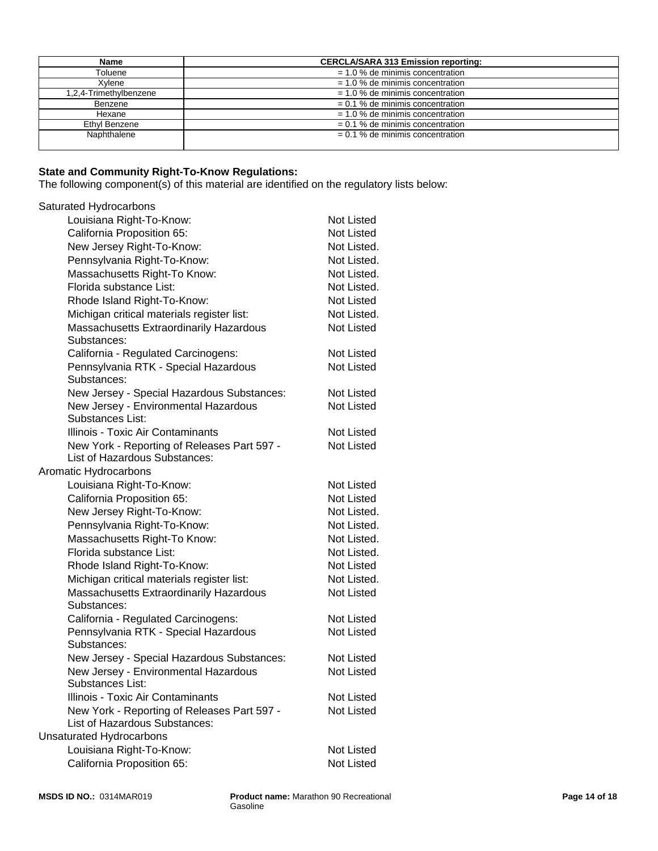| Name                   | <b>CERCLA/SARA 313 Emission reporting:</b> |  |
|------------------------|--------------------------------------------|--|
| Toluene                | $= 1.0$ % de minimis concentration         |  |
| Xvlene                 | $= 1.0$ % de minimis concentration         |  |
| 1,2,4-Trimethylbenzene | $= 1.0$ % de minimis concentration         |  |
| Benzene                | $= 0.1$ % de minimis concentration         |  |
| Hexane                 | $= 1.0$ % de minimis concentration         |  |
| Ethyl Benzene          | $= 0.1$ % de minimis concentration         |  |
| Naphthalene            | $= 0.1$ % de minimis concentration         |  |
|                        |                                            |  |

#### **State and Community Right-To-Know Regulations:**

The following component(s) of this material are identified on the regulatory lists below:

# Saturated Hydrocarbons

| Louisiana Right-To-Know:                               | Not Listed        |
|--------------------------------------------------------|-------------------|
| California Proposition 65:                             | Not Listed        |
| New Jersey Right-To-Know:                              | Not Listed.       |
| Pennsylvania Right-To-Know:                            | Not Listed.       |
| Massachusetts Right-To Know:                           | Not Listed.       |
| Florida substance List:                                | Not Listed.       |
| Rhode Island Right-To-Know:                            | Not Listed        |
| Michigan critical materials register list:             | Not Listed.       |
| Massachusetts Extraordinarily Hazardous                | Not Listed        |
| Substances:                                            |                   |
| California - Regulated Carcinogens:                    | Not Listed        |
| Pennsylvania RTK - Special Hazardous<br>Substances:    | Not Listed        |
| New Jersey - Special Hazardous Substances:             | <b>Not Listed</b> |
| New Jersey - Environmental Hazardous                   | <b>Not Listed</b> |
| Substances List:                                       |                   |
| Illinois - Toxic Air Contaminants                      | Not Listed        |
| New York - Reporting of Releases Part 597 -            | Not Listed        |
| List of Hazardous Substances:                          |                   |
| Aromatic Hydrocarbons                                  |                   |
| Louisiana Right-To-Know:                               | Not Listed        |
| California Proposition 65:                             | Not Listed        |
| New Jersey Right-To-Know:                              | Not Listed.       |
| Pennsylvania Right-To-Know:                            | Not Listed.       |
| Massachusetts Right-To Know:                           | Not Listed.       |
| Florida substance List:                                | Not Listed.       |
| Rhode Island Right-To-Know:                            | Not Listed        |
| Michigan critical materials register list:             | Not Listed.       |
| Massachusetts Extraordinarily Hazardous<br>Substances: | Not Listed        |
| California - Regulated Carcinogens:                    | <b>Not Listed</b> |
| Pennsylvania RTK - Special Hazardous<br>Substances:    | <b>Not Listed</b> |
| New Jersey - Special Hazardous Substances:             | Not Listed        |
| New Jersey - Environmental Hazardous                   | Not Listed        |
| Substances List:                                       |                   |
| Illinois - Toxic Air Contaminants                      | Not Listed        |
| New York - Reporting of Releases Part 597 -            | Not Listed        |
| List of Hazardous Substances:                          |                   |
| <b>Unsaturated Hydrocarbons</b>                        |                   |
| Louisiana Right-To-Know:                               | Not Listed        |
| California Proposition 65:                             | Not Listed        |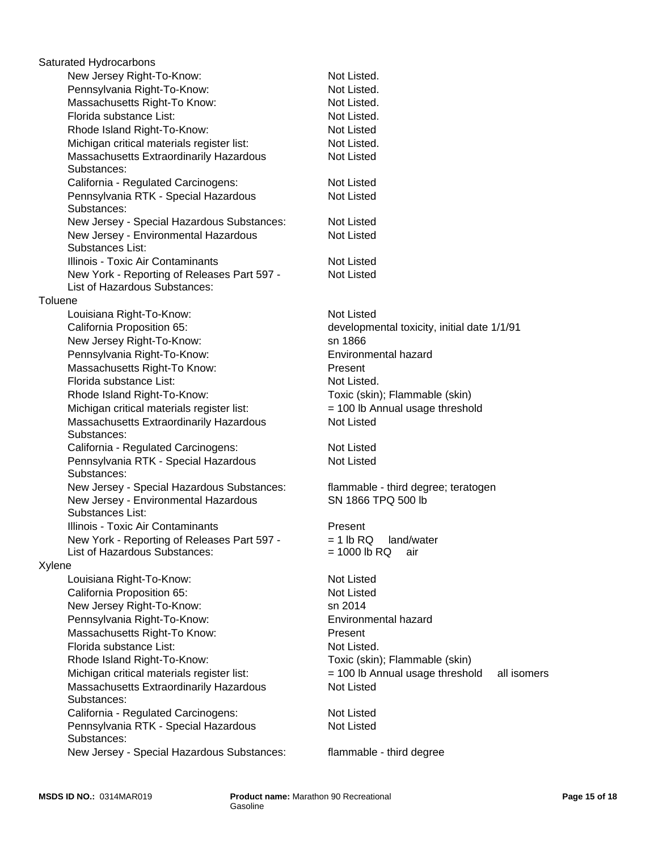|         | Saturated Hydrocarbons                                   |                                                |
|---------|----------------------------------------------------------|------------------------------------------------|
|         | New Jersey Right-To-Know:                                | Not Listed.                                    |
|         | Pennsylvania Right-To-Know:                              | Not Listed.                                    |
|         | Massachusetts Right-To Know:                             | Not Listed.                                    |
|         | Florida substance List:                                  | Not Listed.                                    |
|         | Rhode Island Right-To-Know:                              | Not Listed                                     |
|         | Michigan critical materials register list:               | Not Listed.                                    |
|         | Massachusetts Extraordinarily Hazardous                  | Not Listed                                     |
|         | Substances:                                              |                                                |
|         | California - Regulated Carcinogens:                      | Not Listed                                     |
|         | Pennsylvania RTK - Special Hazardous<br>Substances:      | Not Listed                                     |
|         | New Jersey - Special Hazardous Substances:               | <b>Not Listed</b>                              |
|         | New Jersey - Environmental Hazardous<br>Substances List: | <b>Not Listed</b>                              |
|         | Illinois - Toxic Air Contaminants                        | Not Listed                                     |
|         | New York - Reporting of Releases Part 597 -              | Not Listed                                     |
|         | List of Hazardous Substances:                            |                                                |
| Toluene |                                                          |                                                |
|         | Louisiana Right-To-Know:                                 | <b>Not Listed</b>                              |
|         | California Proposition 65:                               | developmental toxicity, initial date 1/1/91    |
|         | New Jersey Right-To-Know:                                | sn 1866                                        |
|         | Pennsylvania Right-To-Know:                              | Environmental hazard                           |
|         | Massachusetts Right-To Know:                             | Present                                        |
|         | Florida substance List:                                  | Not Listed.                                    |
|         | Rhode Island Right-To-Know:                              | Toxic (skin); Flammable (skin)                 |
|         | Michigan critical materials register list:               | = 100 lb Annual usage threshold                |
|         | Massachusetts Extraordinarily Hazardous                  | <b>Not Listed</b>                              |
|         | Substances:                                              |                                                |
|         | California - Regulated Carcinogens:                      | <b>Not Listed</b>                              |
|         | Pennsylvania RTK - Special Hazardous<br>Substances:      | <b>Not Listed</b>                              |
|         | New Jersey - Special Hazardous Substances:               | flammable - third degree; teratogen            |
|         | New Jersey - Environmental Hazardous<br>Substances List: | SN 1866 TPQ 500 lb                             |
|         | Illinois - Toxic Air Contaminants                        | Present                                        |
|         | New York - Reporting of Releases Part 597 -              | $= 1$ lb RQ land/water                         |
|         | List of Hazardous Substances:                            | $= 1000$ lb RQ<br>air                          |
| Xylene  |                                                          |                                                |
|         | Louisiana Right-To-Know:                                 | Not Listed                                     |
|         | California Proposition 65:                               | Not Listed                                     |
|         | New Jersey Right-To-Know:                                | sn 2014                                        |
|         | Pennsylvania Right-To-Know:                              | Environmental hazard                           |
|         | Massachusetts Right-To Know:                             | Present                                        |
|         | Florida substance List:                                  | Not Listed.                                    |
|         | Rhode Island Right-To-Know:                              | Toxic (skin); Flammable (skin)                 |
|         | Michigan critical materials register list:               | = 100 lb Annual usage threshold<br>all isomers |
|         | Massachusetts Extraordinarily Hazardous                  | Not Listed                                     |
|         | Substances:                                              |                                                |
|         | California - Regulated Carcinogens:                      | Not Listed                                     |
|         | Pennsylvania RTK - Special Hazardous<br>Substances:      | Not Listed                                     |
|         | New Jersey - Special Hazardous Substances:               | flammable - third degree                       |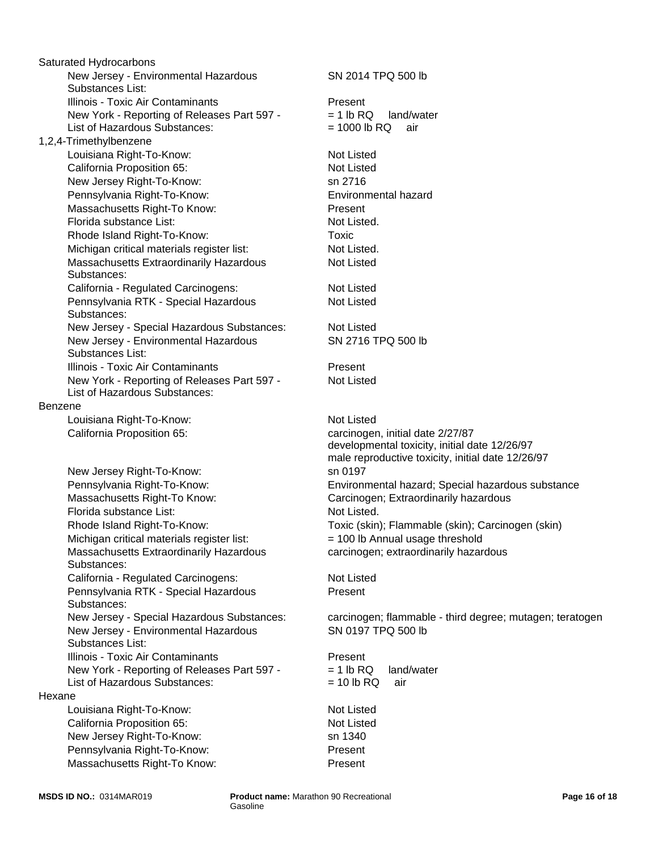New Jersey - Environmental Hazardous Substances List: Illinois - Toxic Air Contaminants **Present** New Jersey Right-To-Know: sn 2716 New York - Reporting of Releases Part 597 - List of Hazardous Substances: New Jersey - Environmental Hazardous Substances List: Benzene Pennsylvania Right-To-Know: Louisiana Right-To-Know: Not Listed New York - Reporting of Releases Part 597 - List of Hazardous Substances: California Proposition 65: carcinogen, initial date 2/27/87 New Jersey Right-To-Know: sn 0197 Massachusetts Right-To Know: Nassachusetts Right-To Know: Massachusetts Right-To Know: Carcinogen; Extraordinarily hazardous Florida substance List: Not Listed. Florida substance List: Not Listed. Rhode Island Right-To-Know: Toxic (skin); Flammable (skin); Carcinogen (skin) 1,2,4-Trimethylbenzene Michigan critical materials register list:  $= 100$  lb Annual usage threshold Rhode Island Right-To-Know: Massachusetts Extraordinarily Hazardous Substances: Saturated Hydrocarbons California - Regulated Carcinogens: Not Listed Pennsylvania RTK - Special Hazardous Substances: Michigan critical materials register list: Not Listed. New Jersey - Environmental Hazardous Substances List: Louisiana Right-To-Know: Illinois - Toxic Air Contaminants **Present** Massachusetts Extraordinarily Hazardous Substances: New York - Reporting of Releases Part 597 - List of Hazardous Substances: Hexane California - Regulated Carcinogens: Louisiana Right-To-Know: Not Listed Illinois - Toxic Air Contaminants California Proposition 65: Not Listed New Jersey Right-To-Know: sn 1340 Pennsylvania RTK - Special Hazardous Substances: Pennsylvania Right-To-Know: Present California Proposition 65: Massachusetts Right-To Know: Present New Jersey - Special Hazardous Substances:

SN 2716 TPQ 500 lb Not Listed Environmental hazard developmental toxicity, initial date 12/26/97 male reproductive toxicity, initial date 12/26/97  $= 1$  lb RQ land/water  $= 1000$  lb RQ air Pennsylvania Right-To-Know: Environmental hazard; Special hazardous substance SN 2014 TPQ 500 lb carcinogen; extraordinarily hazardous **Toxic** Present New Jersey - Special Hazardous Substances: carcinogen; flammable - third degree; mutagen; teratogen SN 0197 TPQ 500 lb Not Listed Not Listed Not Listed Present Not Listed Not Listed Not Listed

> $= 1$  lb RQ land/water  $= 10$  lb RQ air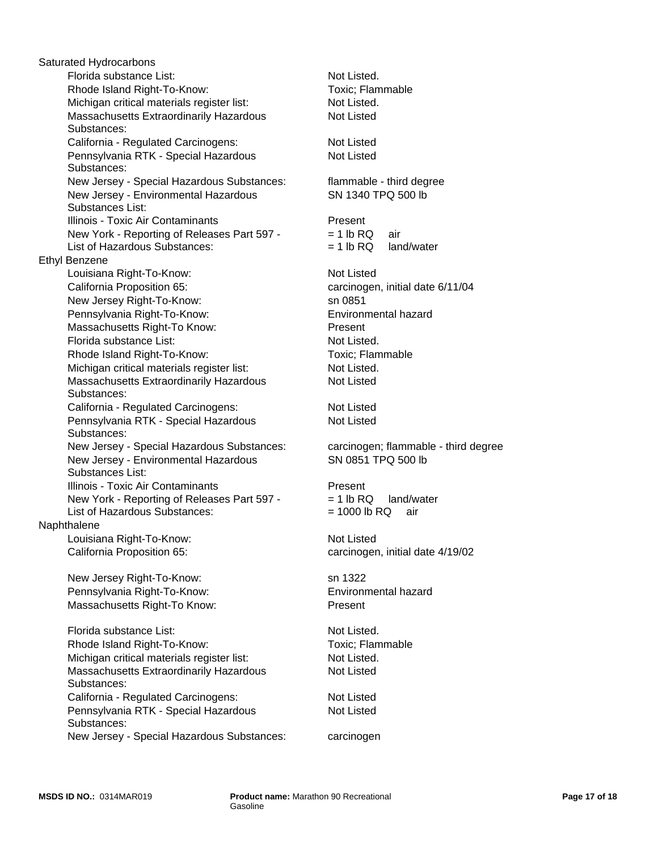Pennsylvania RTK - Special Hazardous Substances: Florida substance List: Not Listed. Rhode Island Right-To-Know: Toxic; Flammable New Jersey - Special Hazardous Substances: Michigan critical materials register list: Not Listed. Florida substance List: Massachusetts Extraordinarily Hazardous Substances: California - Regulated Carcinogens: Not Listed New Jersey - Environmental Hazardous Substances List: Pennsylvania RTK - Special Hazardous Substances: Michigan critical materials register list: Not Listed. New Jersey - Special Hazardous Substances: carcinogen; flammable - third degree New Jersey - Environmental Hazardous Substances List: Illinois - Toxic Air Contaminants **Present** Illinois - Toxic Air Contaminants **Present**  New York - Reporting of Releases Part 597 - List of Hazardous Substances: New York - Reporting of Releases Part 597 - List of Hazardous Substances: Naphthalene Louisiana Right-To-Know: Not Listed Massachusetts Extraordinarily Hazardous Substances: California Proposition 65: carcinogen, initial date 4/19/02 Ethyl Benzene New Jersey Right-To-Know: sn 1322 Saturated Hydrocarbons Pennsylvania Right-To-Know: Environmental hazard Louisiana Right-To-Know: Not Listed Massachusetts Right-To Know: Present Florida substance List: Not Listed. Rhode Island Right-To-Know: Toxic; Flammable California Proposition 65: carcinogen, initial date 6/11/04 Michigan critical materials register list: Not Listed. California - Regulated Carcinogens: Not Listed Massachusetts Extraordinarily Hazardous Substances: New Jersey Right-To-Know: California - Regulated Carcinogens: Not Listed Pennsylvania RTK - Special Hazardous Substances: Rhode Island Right-To-Know: Pennsylvania Right-To-Know: Environmental hazard Massachusetts Right-To Know:

New Jersey - Special Hazardous Substances: carcinogen

Present Not Listed flammable - third degree Not Listed SN 1340 TPQ 500 lb Not Listed SN 0851 TPQ 500 lb Not Listed.  $= 1$  lb RQ land/water  $= 1000$  lb RQ air  $= 1$  lb RQ air  $= 1$  lb RQ land/water Not Listed Not Listed sn 0851 Toxic; Flammable

Not Listed